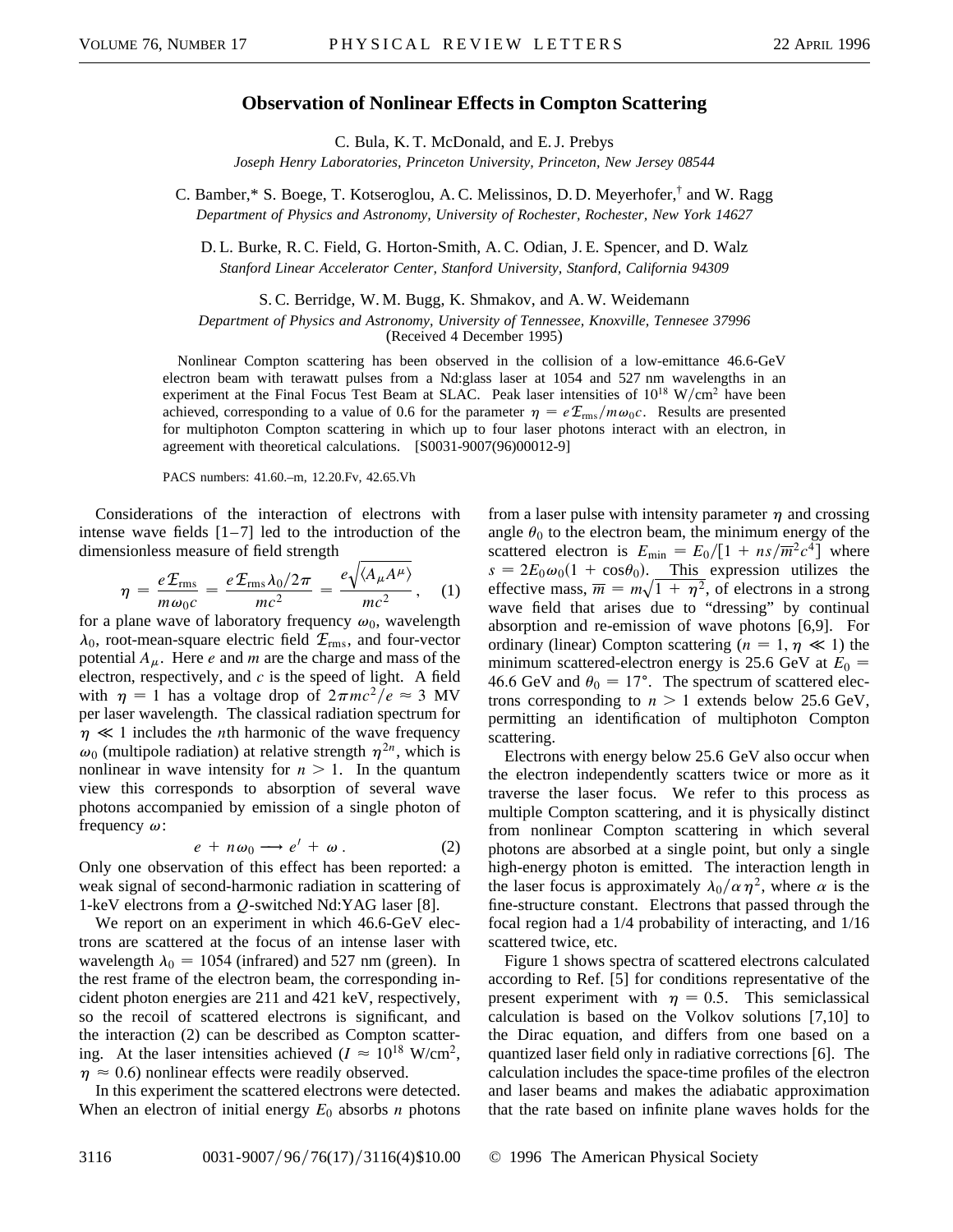## **Observation of Nonlinear Effects in Compton Scattering**

C. Bula, K. T. McDonald, and E. J. Prebys *Joseph Henry Laboratories, Princeton University, Princeton, New Jersey 08544*

C. Bamber,\* S. Boege, T. Kotseroglou, A. C. Melissinos, D. D. Meyerhofer,† and W. Ragg *Department of Physics and Astronomy, University of Rochester, Rochester, New York 14627*

D. L. Burke, R. C. Field, G. Horton-Smith, A. C. Odian, J. E. Spencer, and D. Walz *Stanford Linear Accelerator Center, Stanford University, Stanford, California 94309*

S. C. Berridge, W. M. Bugg, K. Shmakov, and A. W. Weidemann

*Department of Physics and Astronomy, University of Tennessee, Knoxville, Tennesee 37996*

(Received 4 December 1995)

Nonlinear Compton scattering has been observed in the collision of a low-emittance 46.6-GeV electron beam with terawatt pulses from a Nd:glass laser at 1054 and 527 nm wavelengths in an experiment at the Final Focus Test Beam at SLAC. Peak laser intensities of  $10^{18}$  W/cm<sup>2</sup> have been achieved, corresponding to a value of 0.6 for the parameter  $\eta = eE_{\text{rms}}/m\omega_0c$ . Results are presented for multiphoton Compton scattering in which up to four laser photons interact with an electron, in agreement with theoretical calculations. [S0031-9007(96)00012-9]

PACS numbers: 41.60.–m, 12.20.Fv, 42.65.Vh

Considerations of the interaction of electrons with intense wave fields  $[1-7]$  led to the introduction of the dimensionless measure of field strength  $\overline{a}$ 

$$
\eta = \frac{e\mathcal{E}_{\rm rms}}{m\omega_0 c} = \frac{e\mathcal{E}_{\rm rms}\lambda_0/2\pi}{mc^2} = \frac{e\sqrt{\langle A_\mu A^\mu \rangle}}{mc^2}, \quad (1)
$$

for a plane wave of laboratory frequency  $\omega_0$ , wavelength  $\lambda_0$ , root-mean-square electric field  $\mathcal{E}_{\text{rms}}$ , and four-vector potential  $A_\mu$ . Here *e* and *m* are the charge and mass of the electron, respectively, and *c* is the speed of light. A field with  $\eta = 1$  has a voltage drop of  $2\pi mc^2/e \approx 3$  MV per laser wavelength. The classical radiation spectrum for  $\eta \ll 1$  includes the *n*th harmonic of the wave frequency  $\omega_0$  (multipole radiation) at relative strength  $\eta^{2n}$ , which is nonlinear in wave intensity for  $n > 1$ . In the quantum view this corresponds to absorption of several wave photons accompanied by emission of a single photon of frequency  $\omega$ :

$$
e + n\omega_0 \longrightarrow e' + \omega \,.
$$
 (2)

Only one observation of this effect has been reported: a weak signal of second-harmonic radiation in scattering of 1-keV electrons from a *Q*-switched Nd:YAG laser [8].

We report on an experiment in which 46.6-GeV electrons are scattered at the focus of an intense laser with wavelength  $\lambda_0 = 1054$  (infrared) and 527 nm (green). In the rest frame of the electron beam, the corresponding incident photon energies are 211 and 421 keV, respectively, so the recoil of scattered electrons is significant, and the interaction (2) can be described as Compton scattering. At the laser intensities achieved ( $I \approx 10^{18}$  W/cm<sup>2</sup>,  $\eta \approx 0.6$ ) nonlinear effects were readily observed.

In this experiment the scattered electrons were detected. When an electron of initial energy  $E_0$  absorbs *n* photons

from a laser pulse with intensity parameter  $\eta$  and crossing angle  $\theta_0$  to the electron beam, the minimum energy of the scattered electron is  $E_{\text{min}} = E_0/[1 + ns/\overline{m}^2 c^4]$  where  $s = 2E_0\omega_0(1 + \cos\theta_0)$ . This expression utilizes the effective mass,  $\overline{m} = m\sqrt{1 + \eta^2}$ , of electrons in a strong wave field that arises due to "dressing" by continual absorption and re-emission of wave photons [6,9]. For ordinary (linear) Compton scattering  $(n = 1, \eta \ll 1)$  the minimum scattered-electron energy is 25.6 GeV at  $E_0 =$ 46.6 GeV and  $\theta_0 = 17^{\circ}$ . The spectrum of scattered electrons corresponding to  $n > 1$  extends below 25.6 GeV, permitting an identification of multiphoton Compton scattering.

Electrons with energy below 25.6 GeV also occur when the electron independently scatters twice or more as it traverse the laser focus. We refer to this process as multiple Compton scattering, and it is physically distinct from nonlinear Compton scattering in which several photons are absorbed at a single point, but only a single high-energy photon is emitted. The interaction length in the laser focus is approximately  $\lambda_0/\alpha\eta^2$ , where  $\alpha$  is the fine-structure constant. Electrons that passed through the focal region had a 1/4 probability of interacting, and 1/16 scattered twice, etc.

Figure 1 shows spectra of scattered electrons calculated according to Ref. [5] for conditions representative of the present experiment with  $\eta = 0.5$ . This semiclassical calculation is based on the Volkov solutions [7,10] to the Dirac equation, and differs from one based on a quantized laser field only in radiative corrections [6]. The calculation includes the space-time profiles of the electron and laser beams and makes the adiabatic approximation that the rate based on infinite plane waves holds for the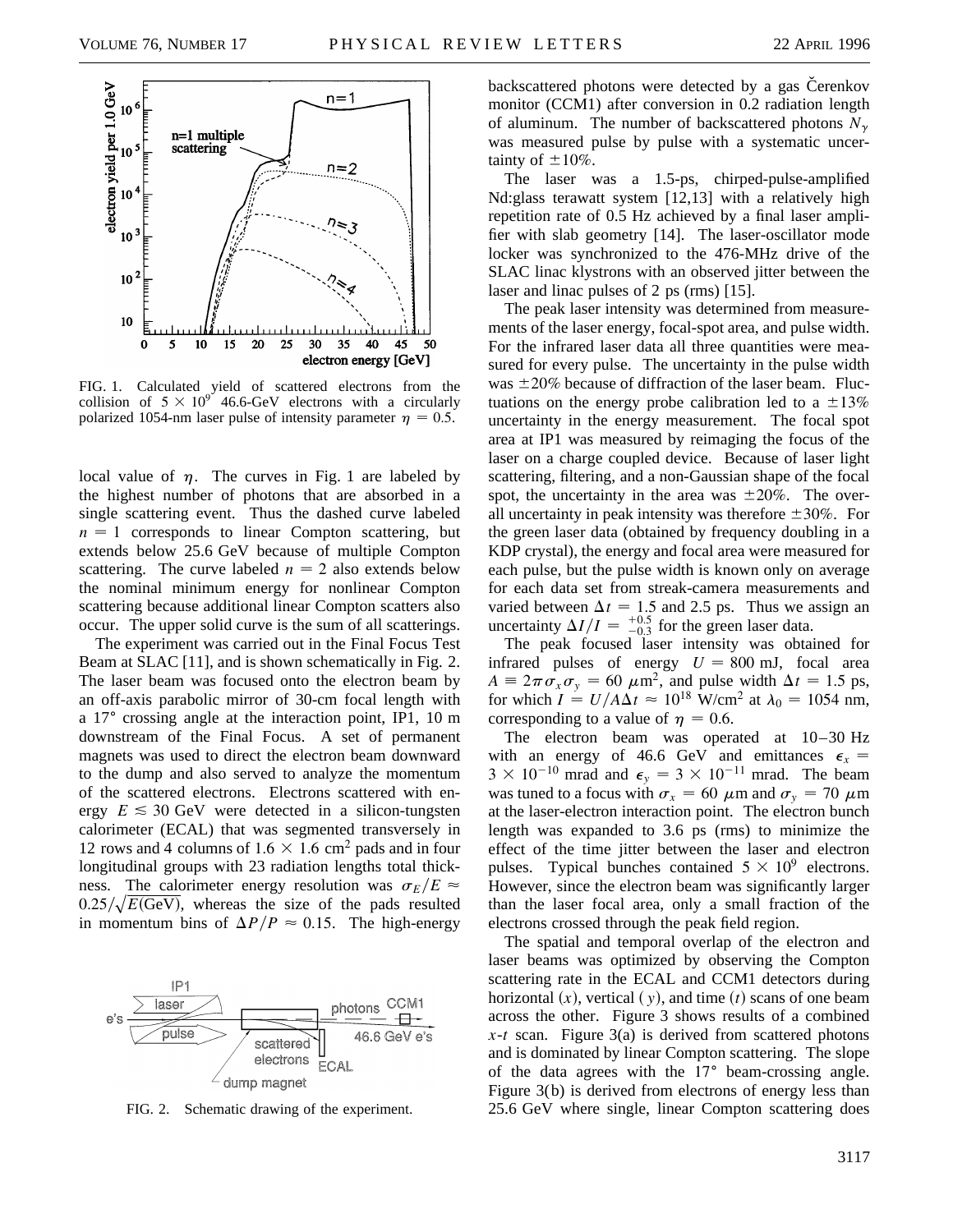

FIG. 1. Calculated yield of scattered electrons from the collision of  $5 \times 10^{9}$  46.6-GeV electrons with a circularly polarized 1054-nm laser pulse of intensity parameter  $\eta = 0.5$ .

local value of  $\eta$ . The curves in Fig. 1 are labeled by the highest number of photons that are absorbed in a single scattering event. Thus the dashed curve labeled  $n = 1$  corresponds to linear Compton scattering, but extends below 25.6 GeV because of multiple Compton scattering. The curve labeled  $n = 2$  also extends below the nominal minimum energy for nonlinear Compton scattering because additional linear Compton scatters also occur. The upper solid curve is the sum of all scatterings.

The experiment was carried out in the Final Focus Test Beam at SLAC [11], and is shown schematically in Fig. 2. The laser beam was focused onto the electron beam by an off-axis parabolic mirror of 30-cm focal length with a  $17^{\circ}$  crossing angle at the interaction point, IP1, 10 m downstream of the Final Focus. A set of permanent magnets was used to direct the electron beam downward to the dump and also served to analyze the momentum of the scattered electrons. Electrons scattered with energy  $E \leq 30$  GeV were detected in a silicon-tungsten calorimeter (ECAL) that was segmented transversely in 12 rows and 4 columns of  $1.6 \times 1.6$  cm<sup>2</sup> pads and in four longitudinal groups with 23 radiation lengths total thickness. The calorimeter energy resolution was  $\sigma_E/E \approx$  $0.25/\sqrt{E(GeV)}$ , whereas the size of the pads resulted in momentum bins of  $\Delta P/P \approx 0.15$ . The high-energy



FIG. 2. Schematic drawing of the experiment.

backscattered photons were detected by a gas Cerenkov monitor (CCM1) after conversion in 0.2 radiation length of aluminum. The number of backscattered photons  $N_{\gamma}$ was measured pulse by pulse with a systematic uncertainty of  $\pm 10\%$ .

The laser was a 1.5-ps, chirped-pulse-amplified Nd:glass terawatt system [12,13] with a relatively high repetition rate of 0.5 Hz achieved by a final laser amplifier with slab geometry [14]. The laser-oscillator mode locker was synchronized to the 476-MHz drive of the SLAC linac klystrons with an observed jitter between the laser and linac pulses of 2 ps (rms) [15].

The peak laser intensity was determined from measurements of the laser energy, focal-spot area, and pulse width. For the infrared laser data all three quantities were measured for every pulse. The uncertainty in the pulse width was  $\pm 20\%$  because of diffraction of the laser beam. Fluctuations on the energy probe calibration led to a  $\pm 13\%$ uncertainty in the energy measurement. The focal spot area at IP1 was measured by reimaging the focus of the laser on a charge coupled device. Because of laser light scattering, filtering, and a non-Gaussian shape of the focal spot, the uncertainty in the area was  $\pm 20\%$ . The overall uncertainty in peak intensity was therefore  $\pm 30\%$ . For the green laser data (obtained by frequency doubling in a KDP crystal), the energy and focal area were measured for each pulse, but the pulse width is known only on average for each data set from streak-camera measurements and varied between  $\Delta t = 1.5$  and 2.5 ps. Thus we assign an uncertainty  $\Delta I/I = \frac{+0.5}{-0.3}$  for the green laser data.

The peak focused laser intensity was obtained for infrared pulses of energy  $U = 800$  mJ, focal area  $A \equiv 2\pi \sigma_x \sigma_y = 60 \ \mu \text{m}^2$ , and pulse width  $\Delta t = 1.5 \text{ ps}$ , for which  $I = U/A\Delta t \approx 10^{18}$  W/cm<sup>2</sup> at  $\lambda_0 = 1054$  nm, corresponding to a value of  $\eta = 0.6$ .

The electron beam was operated at 10–30 Hz with an energy of 46.6 GeV and emittances  $\epsilon_x$  =  $3 \times 10^{-10}$  mrad and  $\epsilon_y = 3 \times 10^{-11}$  mrad. The beam was tuned to a focus with  $\sigma_x = 60 \mu \text{m}$  and  $\sigma_y = 70 \mu \text{m}$ at the laser-electron interaction point. The electron bunch length was expanded to 3.6 ps (rms) to minimize the effect of the time jitter between the laser and electron pulses. Typical bunches contained  $5 \times 10^9$  electrons. However, since the electron beam was significantly larger than the laser focal area, only a small fraction of the electrons crossed through the peak field region.

The spatial and temporal overlap of the electron and laser beams was optimized by observing the Compton scattering rate in the ECAL and CCM1 detectors during horizontal  $(x)$ , vertical  $(y)$ , and time  $(t)$  scans of one beam across the other. Figure 3 shows results of a combined *x*-*t* scan. Figure 3(a) is derived from scattered photons and is dominated by linear Compton scattering. The slope of the data agrees with the  $17<sup>°</sup>$  beam-crossing angle. Figure 3(b) is derived from electrons of energy less than 25.6 GeV where single, linear Compton scattering does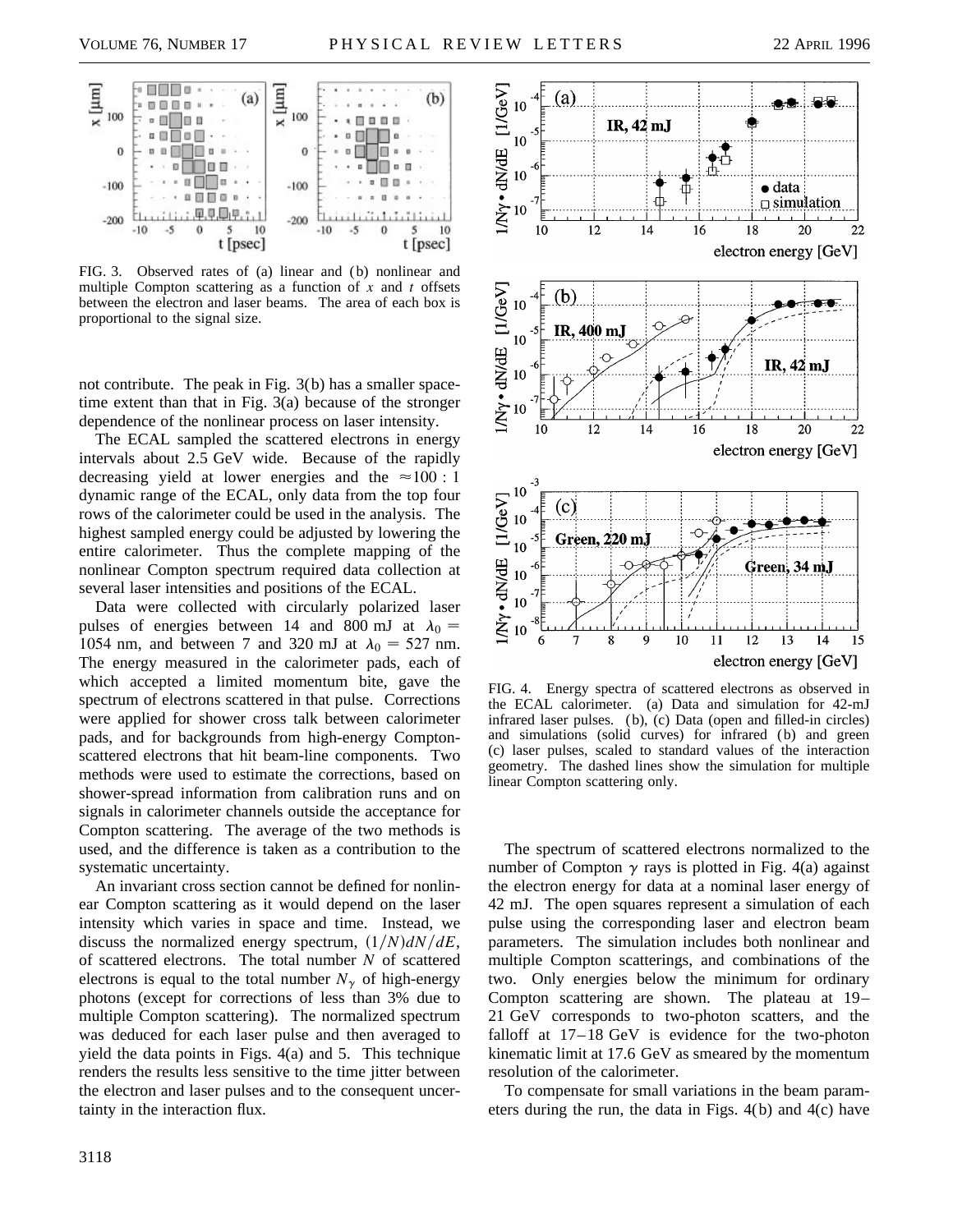

FIG. 3. Observed rates of (a) linear and (b) nonlinear and multiple Compton scattering as a function of *x* and *t* offsets between the electron and laser beams. The area of each box is proportional to the signal size.

not contribute. The peak in Fig. 3(b) has a smaller spacetime extent than that in Fig. 3(a) because of the stronger dependence of the nonlinear process on laser intensity.

The ECAL sampled the scattered electrons in energy intervals about 2.5 GeV wide. Because of the rapidly decreasing yield at lower energies and the  $\approx 100 : 1$ dynamic range of the ECAL, only data from the top four rows of the calorimeter could be used in the analysis. The highest sampled energy could be adjusted by lowering the entire calorimeter. Thus the complete mapping of the nonlinear Compton spectrum required data collection at several laser intensities and positions of the ECAL.

Data were collected with circularly polarized laser pulses of energies between 14 and 800 mJ at  $\lambda_0 =$ 1054 nm, and between 7 and 320 mJ at  $\lambda_0 = 527$  nm. The energy measured in the calorimeter pads, each of which accepted a limited momentum bite, gave the spectrum of electrons scattered in that pulse. Corrections were applied for shower cross talk between calorimeter pads, and for backgrounds from high-energy Comptonscattered electrons that hit beam-line components. Two methods were used to estimate the corrections, based on shower-spread information from calibration runs and on signals in calorimeter channels outside the acceptance for Compton scattering. The average of the two methods is used, and the difference is taken as a contribution to the systematic uncertainty.

An invariant cross section cannot be defined for nonlinear Compton scattering as it would depend on the laser intensity which varies in space and time. Instead, we discuss the normalized energy spectrum,  $\left(\frac{1}{N}\right)dN/dE$ , of scattered electrons. The total number *N* of scattered electrons is equal to the total number  $N_{\gamma}$  of high-energy photons (except for corrections of less than 3% due to multiple Compton scattering). The normalized spectrum was deduced for each laser pulse and then averaged to yield the data points in Figs. 4(a) and 5. This technique renders the results less sensitive to the time jitter between the electron and laser pulses and to the consequent uncertainty in the interaction flux.



FIG. 4. Energy spectra of scattered electrons as observed in the ECAL calorimeter. (a) Data and simulation for 42-mJ infrared laser pulses. (b), (c) Data (open and filled-in circles) and simulations (solid curves) for infrared (b) and green (c) laser pulses, scaled to standard values of the interaction geometry. The dashed lines show the simulation for multiple linear Compton scattering only.

The spectrum of scattered electrons normalized to the number of Compton  $\gamma$  rays is plotted in Fig. 4(a) against the electron energy for data at a nominal laser energy of 42 mJ. The open squares represent a simulation of each pulse using the corresponding laser and electron beam parameters. The simulation includes both nonlinear and multiple Compton scatterings, and combinations of the two. Only energies below the minimum for ordinary Compton scattering are shown. The plateau at 19– 21 GeV corresponds to two-photon scatters, and the falloff at 17–18 GeV is evidence for the two-photon kinematic limit at 17.6 GeV as smeared by the momentum resolution of the calorimeter.

To compensate for small variations in the beam parameters during the run, the data in Figs. 4(b) and 4(c) have